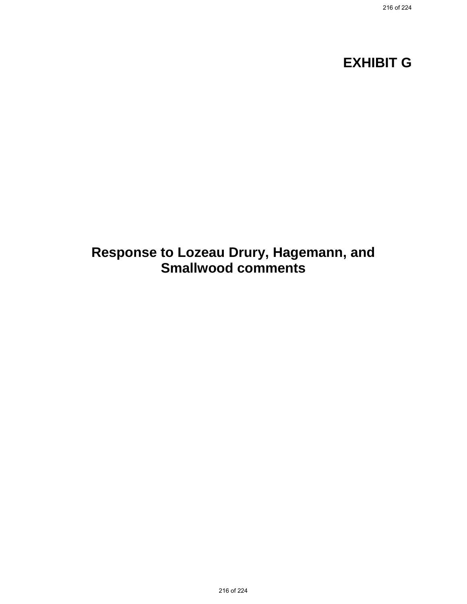# **EXHIBIT G**

# **Response to Lozeau Drury, Hagemann, and Smallwood comments**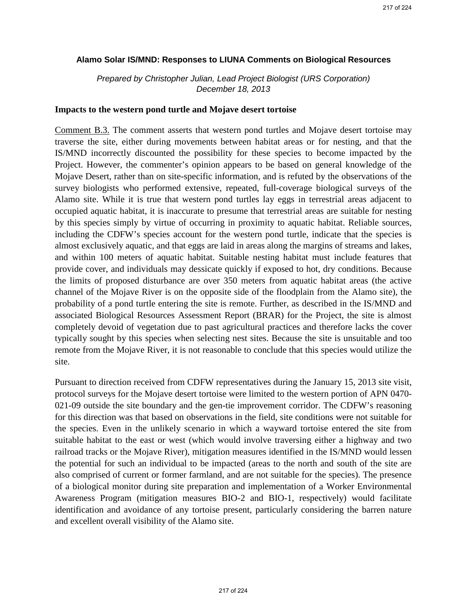#### **Alamo Solar IS/MND: Responses to LIUNA Comments on Biological Resources**

*Prepared by Christopher Julian, Lead Project Biologist (URS Corporation) December 18, 2013*

#### **Impacts to the western pond turtle and Mojave desert tortoise**

Comment B.3. The comment asserts that western pond turtles and Mojave desert tortoise may traverse the site, either during movements between habitat areas or for nesting, and that the IS/MND incorrectly discounted the possibility for these species to become impacted by the Project. However, the commenter's opinion appears to be based on general knowledge of the Mojave Desert, rather than on site-specific information, and is refuted by the observations of the survey biologists who performed extensive, repeated, full-coverage biological surveys of the Alamo site. While it is true that western pond turtles lay eggs in terrestrial areas adjacent to occupied aquatic habitat, it is inaccurate to presume that terrestrial areas are suitable for nesting by this species simply by virtue of occurring in proximity to aquatic habitat. Reliable sources, including the CDFW's species account for the western pond turtle, indicate that the species is almost exclusively aquatic, and that eggs are laid in areas along the margins of streams and lakes, and within 100 meters of aquatic habitat. Suitable nesting habitat must include features that provide cover, and individuals may dessicate quickly if exposed to hot, dry conditions. Because the limits of proposed disturbance are over 350 meters from aquatic habitat areas (the active channel of the Mojave River is on the opposite side of the floodplain from the Alamo site), the probability of a pond turtle entering the site is remote. Further, as described in the IS/MND and associated Biological Resources Assessment Report (BRAR) for the Project, the site is almost completely devoid of vegetation due to past agricultural practices and therefore lacks the cover typically sought by this species when selecting nest sites. Because the site is unsuitable and too remote from the Mojave River, it is not reasonable to conclude that this species would utilize the site.

Pursuant to direction received from CDFW representatives during the January 15, 2013 site visit, protocol surveys for the Mojave desert tortoise were limited to the western portion of APN 0470- 021-09 outside the site boundary and the gen-tie improvement corridor. The CDFW's reasoning for this direction was that based on observations in the field, site conditions were not suitable for the species. Even in the unlikely scenario in which a wayward tortoise entered the site from suitable habitat to the east or west (which would involve traversing either a highway and two railroad tracks or the Mojave River), mitigation measures identified in the IS/MND would lessen the potential for such an individual to be impacted (areas to the north and south of the site are also comprised of current or former farmland, and are not suitable for the species). The presence of a biological monitor during site preparation and implementation of a Worker Environmental Awareness Program (mitigation measures BIO-2 and BIO-1, respectively) would facilitate identification and avoidance of any tortoise present, particularly considering the barren nature and excellent overall visibility of the Alamo site.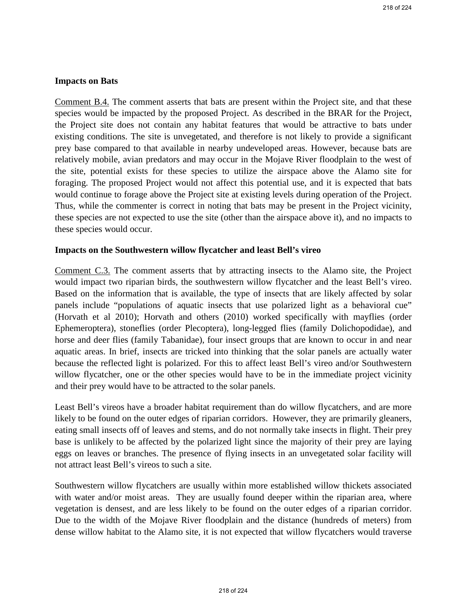#### **Impacts on Bats**

Comment B.4. The comment asserts that bats are present within the Project site, and that these species would be impacted by the proposed Project. As described in the BRAR for the Project, the Project site does not contain any habitat features that would be attractive to bats under existing conditions. The site is unvegetated, and therefore is not likely to provide a significant prey base compared to that available in nearby undeveloped areas. However, because bats are relatively mobile, avian predators and may occur in the Mojave River floodplain to the west of the site, potential exists for these species to utilize the airspace above the Alamo site for foraging. The proposed Project would not affect this potential use, and it is expected that bats would continue to forage above the Project site at existing levels during operation of the Project. Thus, while the commenter is correct in noting that bats may be present in the Project vicinity, these species are not expected to use the site (other than the airspace above it), and no impacts to these species would occur.

#### **Impacts on the Southwestern willow flycatcher and least Bell's vireo**

Comment C.3. The comment asserts that by attracting insects to the Alamo site, the Project would impact two riparian birds, the southwestern willow flycatcher and the least Bell's vireo. Based on the information that is available, the type of insects that are likely affected by solar panels include "populations of aquatic insects that use polarized light as a behavioral cue" (Horvath et al 2010); Horvath and others (2010) worked specifically with mayflies (order Ephemeroptera), stoneflies (order Plecoptera), long-legged flies (family Dolichopodidae), and horse and deer flies (family Tabanidae), four insect groups that are known to occur in and near aquatic areas. In brief, insects are tricked into thinking that the solar panels are actually water because the reflected light is polarized. For this to affect least Bell's vireo and/or Southwestern willow flycatcher, one or the other species would have to be in the immediate project vicinity and their prey would have to be attracted to the solar panels.

Least Bell's vireos have a broader habitat requirement than do willow flycatchers, and are more likely to be found on the outer edges of riparian corridors. However, they are primarily gleaners, eating small insects off of leaves and stems, and do not normally take insects in flight. Their prey base is unlikely to be affected by the polarized light since the majority of their prey are laying eggs on leaves or branches. The presence of flying insects in an unvegetated solar facility will not attract least Bell's vireos to such a site.

Southwestern willow flycatchers are usually within more established willow thickets associated with water and/or moist areas. They are usually found deeper within the riparian area, where vegetation is densest, and are less likely to be found on the outer edges of a riparian corridor. Due to the width of the Mojave River floodplain and the distance (hundreds of meters) from dense willow habitat to the Alamo site, it is not expected that willow flycatchers would traverse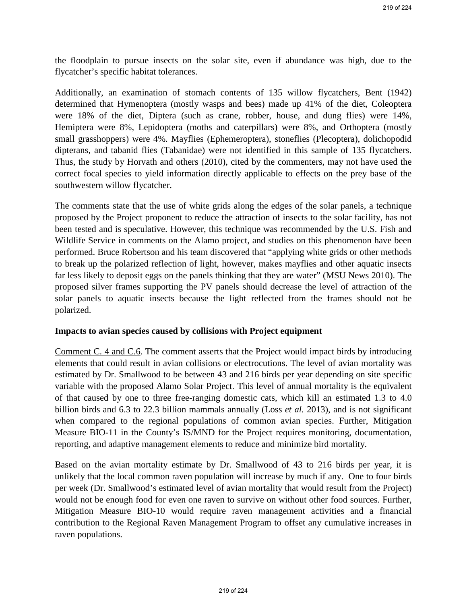the floodplain to pursue insects on the solar site, even if abundance was high, due to the flycatcher's specific habitat tolerances.

Additionally, an examination of stomach contents of 135 willow flycatchers, Bent (1942) determined that Hymenoptera (mostly wasps and bees) made up 41% of the diet, Coleoptera were 18% of the diet, Diptera (such as crane, robber, house, and dung flies) were 14%, Hemiptera were 8%, Lepidoptera (moths and caterpillars) were 8%, and Orthoptera (mostly small grasshoppers) were 4%. Mayflies (Ephemeroptera), stoneflies (Plecoptera), dolichopodid dipterans, and tabanid flies (Tabanidae) were not identified in this sample of 135 flycatchers. Thus, the study by Horvath and others (2010), cited by the commenters, may not have used the correct focal species to yield information directly applicable to effects on the prey base of the southwestern willow flycatcher.

The comments state that the use of white grids along the edges of the solar panels, a technique proposed by the Project proponent to reduce the attraction of insects to the solar facility, has not been tested and is speculative. However, this technique was recommended by the U.S. Fish and Wildlife Service in comments on the Alamo project, and studies on this phenomenon have been performed. Bruce Robertson and his team discovered that "applying white grids or other methods to break up the polarized reflection of light, however, makes mayflies and other aquatic insects far less likely to deposit eggs on the panels thinking that they are water" (MSU News 2010). The proposed silver frames supporting the PV panels should decrease the level of attraction of the solar panels to aquatic insects because the light reflected from the frames should not be polarized.

#### **Impacts to avian species caused by collisions with Project equipment**

Comment C. 4 and C.6. The comment asserts that the Project would impact birds by introducing elements that could result in avian collisions or electrocutions. The level of avian mortality was estimated by Dr. Smallwood to be between 43 and 216 birds per year depending on site specific variable with the proposed Alamo Solar Project. This level of annual mortality is the equivalent of that caused by one to three free-ranging domestic cats, which kill an estimated 1.3 to 4.0 billion birds and 6.3 to 22.3 billion mammals annually (Loss *et al.* 2013), and is not significant when compared to the regional populations of common avian species. Further, Mitigation Measure BIO-11 in the County's IS/MND for the Project requires monitoring, documentation, reporting, and adaptive management elements to reduce and minimize bird mortality.

Based on the avian mortality estimate by Dr. Smallwood of 43 to 216 birds per year, it is unlikely that the local common raven population will increase by much if any. One to four birds per week (Dr. Smallwood's estimated level of avian mortality that would result from the Project) would not be enough food for even one raven to survive on without other food sources. Further, Mitigation Measure BIO-10 would require raven management activities and a financial contribution to the Regional Raven Management Program to offset any cumulative increases in raven populations.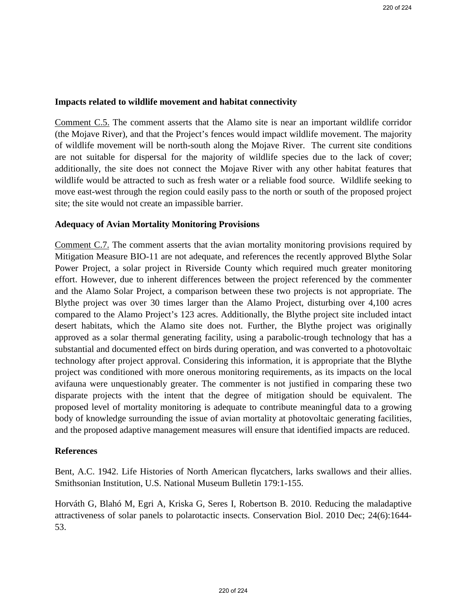#### **Impacts related to wildlife movement and habitat connectivity**

Comment C.5. The comment asserts that the Alamo site is near an important wildlife corridor (the Mojave River), and that the Project's fences would impact wildlife movement. The majority of wildlife movement will be north-south along the Mojave River. The current site conditions are not suitable for dispersal for the majority of wildlife species due to the lack of cover; additionally, the site does not connect the Mojave River with any other habitat features that wildlife would be attracted to such as fresh water or a reliable food source. Wildlife seeking to move east-west through the region could easily pass to the north or south of the proposed project site; the site would not create an impassible barrier.

#### **Adequacy of Avian Mortality Monitoring Provisions**

Comment C.7. The comment asserts that the avian mortality monitoring provisions required by Mitigation Measure BIO-11 are not adequate, and references the recently approved Blythe Solar Power Project, a solar project in Riverside County which required much greater monitoring effort. However, due to inherent differences between the project referenced by the commenter and the Alamo Solar Project, a comparison between these two projects is not appropriate. The Blythe project was over 30 times larger than the Alamo Project, disturbing over 4,100 acres compared to the Alamo Project's 123 acres. Additionally, the Blythe project site included intact desert habitats, which the Alamo site does not. Further, the Blythe project was originally approved as a solar thermal generating facility, using a parabolic-trough technology that has a substantial and documented effect on birds during operation, and was converted to a photovoltaic technology after project approval. Considering this information, it is appropriate that the Blythe project was conditioned with more onerous monitoring requirements, as its impacts on the local avifauna were unquestionably greater. The commenter is not justified in comparing these two disparate projects with the intent that the degree of mitigation should be equivalent. The proposed level of mortality monitoring is adequate to contribute meaningful data to a growing body of knowledge surrounding the issue of avian mortality at photovoltaic generating facilities, and the proposed adaptive management measures will ensure that identified impacts are reduced.

#### **References**

Bent, A.C. 1942. Life Histories of North American flycatchers, larks swallows and their allies. Smithsonian Institution, U.S. National Museum Bulletin 179:1-155.

Horváth G, Blahó M, Egri A, Kriska G, Seres I, Robertson B. 2010. Reducing the maladaptive attractiveness of solar panels to polarotactic insects. Conservation Biol. 2010 Dec; 24(6):1644- 53.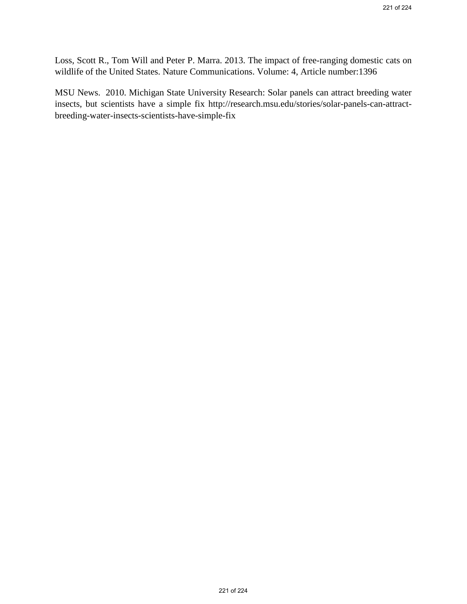Loss, Scott R., Tom Will and Peter P. Marra. 2013. The impact of free-ranging domestic cats on wildlife of the United States. Nature Communications. Volume: 4, Article number:1396

MSU News. 2010. Michigan State University Research: Solar panels can attract breeding water insects, but scientists have a simple fix http://research.msu.edu/stories/solar-panels-can-attractbreeding-water-insects-scientists-have-simple-fix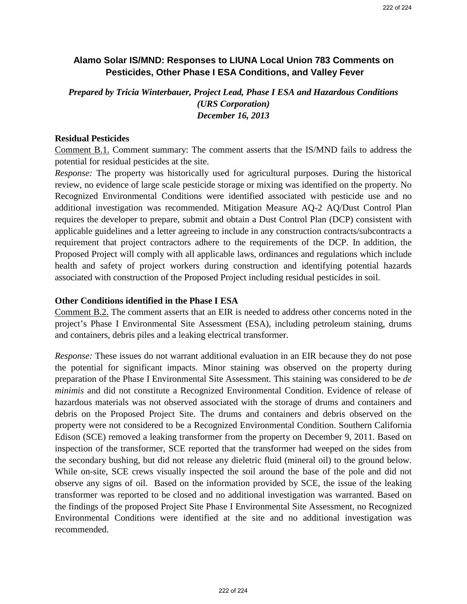## **Alamo Solar IS/MND: Responses to LIUNA Local Union 783 Comments on Pesticides, Other Phase I ESA Conditions, and Valley Fever**

*Prepared by Tricia Winterbauer, Project Lead, Phase I ESA and Hazardous Conditions (URS Corporation) December 16, 2013* 

#### **Residual Pesticides**

Comment B.1. Comment summary: The comment asserts that the IS/MND fails to address the potential for residual pesticides at the site.

*Response:* The property was historically used for agricultural purposes. During the historical review, no evidence of large scale pesticide storage or mixing was identified on the property. No Recognized Environmental Conditions were identified associated with pesticide use and no additional investigation was recommended. Mitigation Measure AQ-2 AQ/Dust Control Plan requires the developer to prepare, submit and obtain a Dust Control Plan (DCP) consistent with applicable guidelines and a letter agreeing to include in any construction contracts/subcontracts a requirement that project contractors adhere to the requirements of the DCP. In addition, the Proposed Project will comply with all applicable laws, ordinances and regulations which include health and safety of project workers during construction and identifying potential hazards associated with construction of the Proposed Project including residual pesticides in soil.

#### **Other Conditions identified in the Phase I ESA**

Comment B.2. The comment asserts that an EIR is needed to address other concerns noted in the project's Phase I Environmental Site Assessment (ESA), including petroleum staining, drums and containers, debris piles and a leaking electrical transformer.

*Response:* These issues do not warrant additional evaluation in an EIR because they do not pose the potential for significant impacts. Minor staining was observed on the property during preparation of the Phase I Environmental Site Assessment. This staining was considered to be *de minimis* and did not constitute a Recognized Environmental Condition. Evidence of release of hazardous materials was not observed associated with the storage of drums and containers and debris on the Proposed Project Site. The drums and containers and debris observed on the property were not considered to be a Recognized Environmental Condition. Southern California Edison (SCE) removed a leaking transformer from the property on December 9, 2011. Based on inspection of the transformer, SCE reported that the transformer had weeped on the sides from the secondary bushing, but did not release any dieletric fluid (mineral oil) to the ground below. While on-site, SCE crews visually inspected the soil around the base of the pole and did not observe any signs of oil. Based on the information provided by SCE, the issue of the leaking transformer was reported to be closed and no additional investigation was warranted. Based on the findings of the proposed Project Site Phase I Environmental Site Assessment, no Recognized Environmental Conditions were identified at the site and no additional investigation was recommended.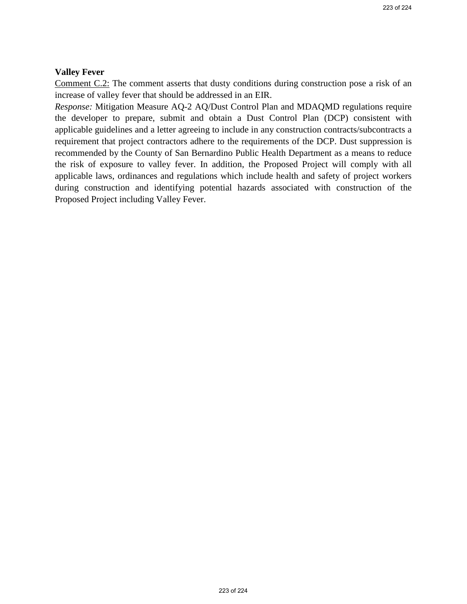#### **Valley Fever**

Comment C.2: The comment asserts that dusty conditions during construction pose a risk of an increase of valley fever that should be addressed in an EIR.

*Response:* Mitigation Measure AQ-2 AQ/Dust Control Plan and MDAQMD regulations require the developer to prepare, submit and obtain a Dust Control Plan (DCP) consistent with applicable guidelines and a letter agreeing to include in any construction contracts/subcontracts a requirement that project contractors adhere to the requirements of the DCP. Dust suppression is recommended by the County of San Bernardino Public Health Department as a means to reduce the risk of exposure to valley fever. In addition, the Proposed Project will comply with all applicable laws, ordinances and regulations which include health and safety of project workers during construction and identifying potential hazards associated with construction of the Proposed Project including Valley Fever.